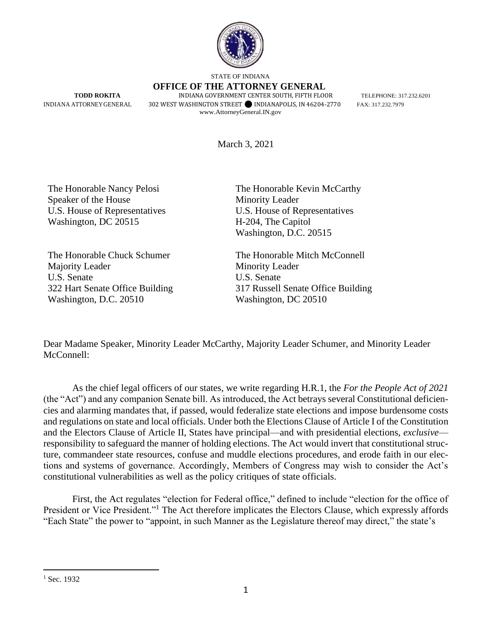

STATE OF INDIANA

 **OFFICE OF THE ATTORNEY GENERAL TODD ROKITA** INDIANA GOVERNMENT CENTER SOUTH, FIFTH FLOOR TELEPHONE: 317.232.6201 INDIANA ATTORNEY GENERAL 302 WEST WASHINGTON STREET SINDIANAPOLIS, IN 46204-2770 FAX: 317.232.7979 [www.AttorneyGeneral.IN.gov](http://www.attorneygeneral.in.gov/)

March 3, 2021

The Honorable Nancy Pelosi Speaker of the House U.S. House of Representatives Washington, DC 20515

The Honorable Chuck Schumer Majority Leader U.S. Senate 322 Hart Senate Office Building Washington, D.C. 20510

The Honorable Kevin McCarthy Minority Leader U.S. House of Representatives H-204, The Capitol Washington, D.C. 20515

The Honorable Mitch McConnell Minority Leader U.S. Senate 317 Russell Senate Office Building Washington, DC 20510

Dear Madame Speaker, Minority Leader McCarthy, Majority Leader Schumer, and Minority Leader McConnell:

As the chief legal officers of our states, we write regarding H.R.1, the *For the People Act of 2021* (the "Act") and any companion Senate bill. As introduced, the Act betrays several Constitutional deficiencies and alarming mandates that, if passed, would federalize state elections and impose burdensome costs and regulations on state and local officials. Under both the Elections Clause of Article I of the Constitution and the Electors Clause of Article II, States have principal—and with presidential elections, *exclusive* responsibility to safeguard the manner of holding elections. The Act would invert that constitutional structure, commandeer state resources, confuse and muddle elections procedures, and erode faith in our elections and systems of governance. Accordingly, Members of Congress may wish to consider the Act's constitutional vulnerabilities as well as the policy critiques of state officials.

First, the Act regulates "election for Federal office," defined to include "election for the office of President or Vice President."<sup>1</sup> The Act therefore implicates the Electors Clause, which expressly affords "Each State" the power to "appoint, in such Manner as the Legislature thereof may direct," the state's

 $1$  Sec. 1932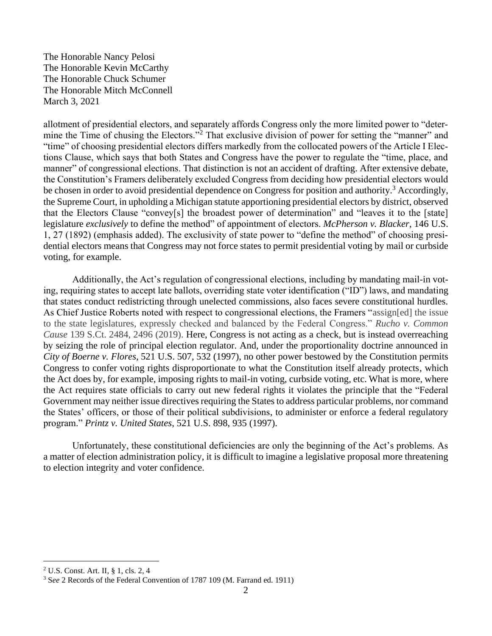allotment of presidential electors, and separately affords Congress only the more limited power to "determine the Time of chusing the Electors."<sup>2</sup> That exclusive division of power for setting the "manner" and "time" of choosing presidential electors differs markedly from the collocated powers of the Article I Elections Clause, which says that both States and Congress have the power to regulate the "time, place, and manner" of congressional elections. That distinction is not an accident of drafting. After extensive debate, the Constitution's Framers deliberately excluded Congress from deciding how presidential electors would be chosen in order to avoid presidential dependence on Congress for position and authority.<sup>3</sup> Accordingly, the Supreme Court, in upholding a Michigan statute apportioning presidential electors by district, observed that the Electors Clause "convey[s] the broadest power of determination" and "leaves it to the [state] legislature *exclusively* to define the method" of appointment of electors. *McPherson v. Blacker*, 146 U.S. 1, 27 (1892) (emphasis added). The exclusivity of state power to "define the method" of choosing presidential electors means that Congress may not force states to permit presidential voting by mail or curbside voting, for example.

Additionally, the Act's regulation of congressional elections, including by mandating mail-in voting, requiring states to accept late ballots, overriding state voter identification ("ID") laws, and mandating that states conduct redistricting through unelected commissions, also faces severe constitutional hurdles. As Chief Justice Roberts noted with respect to congressional elections, the Framers "assign[ed] the issue to the state legislatures, expressly checked and balanced by the Federal Congress." *Rucho v. Common Cause* 139 S.Ct. 2484, 2496 (2019). Here, Congress is not acting as a check, but is instead overreaching by seizing the role of principal election regulator. And, under the proportionality doctrine announced in *City of Boerne v. Flores*, 521 U.S. 507, 532 (1997), no other power bestowed by the Constitution permits Congress to confer voting rights disproportionate to what the Constitution itself already protects, which the Act does by, for example, imposing rights to mail-in voting, curbside voting, etc. What is more, where the Act requires state officials to carry out new federal rights it violates the principle that the "Federal Government may neither issue directives requiring the States to address particular problems, nor command the States' officers, or those of their political subdivisions, to administer or enforce a federal regulatory program." *Printz v. United States*, 521 U.S. 898, 935 (1997).

Unfortunately, these constitutional deficiencies are only the beginning of the Act's problems. As a matter of election administration policy, it is difficult to imagine a legislative proposal more threatening to election integrity and voter confidence.

<sup>2</sup> U.S. Const. Art. II, § 1, cls. 2, 4

<sup>3</sup> S*ee* 2 Records of the Federal Convention of 1787 109 (M. Farrand ed. 1911)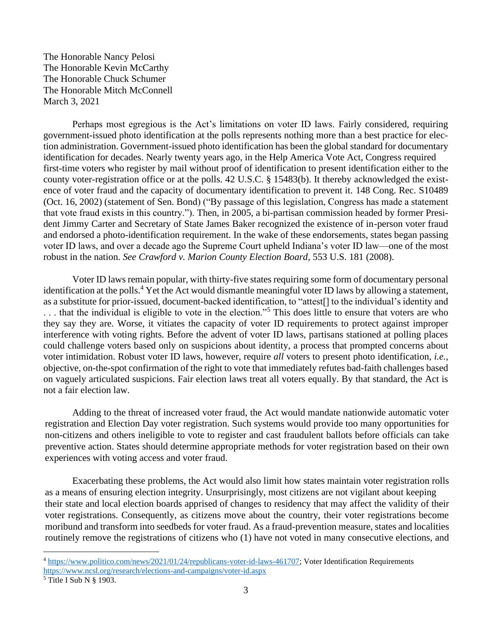Perhaps most egregious is the Act's limitations on voter ID laws. Fairly considered, requiring government-issued photo identification at the polls represents nothing more than a best practice for election administration. Government-issued photo identification has been the global standard for documentary identification for decades. Nearly twenty years ago, in the Help America Vote Act, Congress required first-time voters who register by mail without proof of identification to present identification either to the county voter-registration office or at the polls. 42 U.S.C. § 15483(b). It thereby acknowledged the existence of voter fraud and the capacity of documentary identification to prevent it. 148 Cong. Rec. S10489 (Oct. 16, 2002) (statement of Sen. Bond) ("By passage of this legislation, Congress has made a statement that vote fraud exists in this country."). Then, in 2005, a bi-partisan commission headed by former President Jimmy Carter and Secretary of State James Baker recognized the existence of in-person voter fraud and endorsed a photo-identification requirement. In the wake of these endorsements, states began passing voter ID laws, and over a decade ago the Supreme Court upheld Indiana's voter ID law—one of the most robust in the nation. *See Crawford v. Marion County Election Board*, 553 U.S. 181 (2008).

Voter ID laws remain popular, with thirty-five states requiring some form of documentary personal identification at the polls.<sup>4</sup> Yet the Act would dismantle meaningful voter ID laws by allowing a statement, as a substitute for prior-issued, document-backed identification, to "attest[] to the individual's identity and ... that the individual is eligible to vote in the election."<sup>5</sup> This does little to ensure that voters are who they say they are. Worse, it vitiates the capacity of voter ID requirements to protect against improper interference with voting rights. Before the advent of voter ID laws, partisans stationed at polling places could challenge voters based only on suspicions about identity, a process that prompted concerns about voter intimidation. Robust voter ID laws, however, require *all* voters to present photo identification, *i.e.*, objective, on-the-spot confirmation of the right to vote that immediately refutes bad-faith challenges based on vaguely articulated suspicions. Fair election laws treat all voters equally. By that standard, the Act is not a fair election law.

Adding to the threat of increased voter fraud, the Act would mandate nationwide automatic voter registration and Election Day voter registration. Such systems would provide too many opportunities for non-citizens and others ineligible to vote to register and cast fraudulent ballots before officials can take preventive action. States should determine appropriate methods for voter registration based on their own experiences with voting access and voter fraud.

Exacerbating these problems, the Act would also limit how states maintain voter registration rolls as a means of ensuring election integrity. Unsurprisingly, most citizens are not vigilant about keeping their state and local election boards apprised of changes to residency that may affect the validity of their voter registrations. Consequently, as citizens move about the country, their voter registrations become moribund and transform into seedbeds for voter fraud. As a fraud-prevention measure, states and localities routinely remove the registrations of citizens who (1) have not voted in many consecutive elections, and

<sup>4</sup> [https://www.politico.com/news/2021/01/24/republicans-voter-id-laws-461707;](https://www.politico.com/news/2021/01/24/republicans-voter-id-laws-461707) Voter Identification Requirements <https://www.ncsl.org/research/elections-and-campaigns/voter-id.aspx>

 $<sup>5</sup>$  Title I Sub N § 1903.</sup>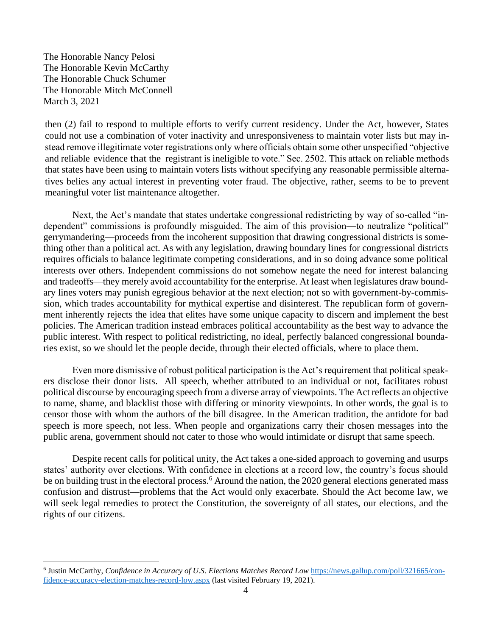then (2) fail to respond to multiple efforts to verify current residency. Under the Act, however, States could not use a combination of voter inactivity and unresponsiveness to maintain voter lists but may instead remove illegitimate voter registrations only where officials obtain some other unspecified "objective and reliable evidence that the registrant is ineligible to vote." Sec. 2502. This attack on reliable methods that states have been using to maintain voters lists without specifying any reasonable permissible alternatives belies any actual interest in preventing voter fraud. The objective, rather, seems to be to prevent meaningful voter list maintenance altogether.

Next, the Act's mandate that states undertake congressional redistricting by way of so-called "independent" commissions is profoundly misguided. The aim of this provision—to neutralize "political" gerrymandering—proceeds from the incoherent supposition that drawing congressional districts is something other than a political act. As with any legislation, drawing boundary lines for congressional districts requires officials to balance legitimate competing considerations, and in so doing advance some political interests over others. Independent commissions do not somehow negate the need for interest balancing and tradeoffs—they merely avoid accountability for the enterprise. At least when legislatures draw boundary lines voters may punish egregious behavior at the next election; not so with government-by-commission, which trades accountability for mythical expertise and disinterest. The republican form of government inherently rejects the idea that elites have some unique capacity to discern and implement the best policies. The American tradition instead embraces political accountability as the best way to advance the public interest. With respect to political redistricting, no ideal, perfectly balanced congressional boundaries exist, so we should let the people decide, through their elected officials, where to place them.

Even more dismissive of robust political participation is the Act's requirement that political speakers disclose their donor lists. All speech, whether attributed to an individual or not, facilitates robust political discourse by encouraging speech from a diverse array of viewpoints. The Act reflects an objective to name, shame, and blacklist those with differing or minority viewpoints. In other words, the goal is to censor those with whom the authors of the bill disagree. In the American tradition, the antidote for bad speech is more speech, not less. When people and organizations carry their chosen messages into the public arena, government should not cater to those who would intimidate or disrupt that same speech.

Despite recent calls for political unity, the Act takes a one-sided approach to governing and usurps states' authority over elections. With confidence in elections at a record low, the country's focus should be on building trust in the electoral process.<sup>6</sup> Around the nation, the 2020 general elections generated mass confusion and distrust—problems that the Act would only exacerbate. Should the Act become law, we will seek legal remedies to protect the Constitution, the sovereignty of all states, our elections, and the rights of our citizens.

<sup>6</sup> Justin McCarthy, *Confidence in Accuracy of U.S. Elections Matches Record Low* [https://news.gallup.com/poll/321665/con](https://news.gallup.com/poll/321665/confidence-accuracy-election-matches-record-low.aspx)[fidence-accuracy-election-matches-record-low.aspx](https://news.gallup.com/poll/321665/confidence-accuracy-election-matches-record-low.aspx) (last visited February 19, 2021).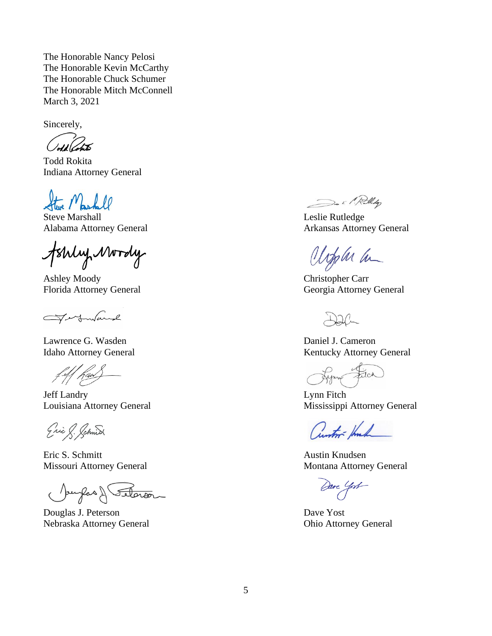Sincerely,

Todd Rokita Indiana Attorney General

Steve Marshall Leslie Rutledge

Jshly Mordy

Ashley Moody Christopher Carr

Ferfundame

Lawrence G. Wasden Daniel J. Cameron

Eric S. Schnid

Eric S. Schmitt Austin Knudsen

Jourfas & Seterior

Douglas J. Peterson Dave Yost Nebraska Attorney General Ohio Attorney General

De il Relley

Alabama Attorney General Arkansas Attorney General

Upplu la

Florida Attorney General Georgia Attorney General

Idaho Attorney General Kentucky Attorney General

Lynn Filch

Jeff Landry Lynn Fitch Louisiana Attorney General Mississippi Attorney General

Cuntor Hunk

Missouri Attorney General Montana Attorney General Montana Attorney General

Dave Yost